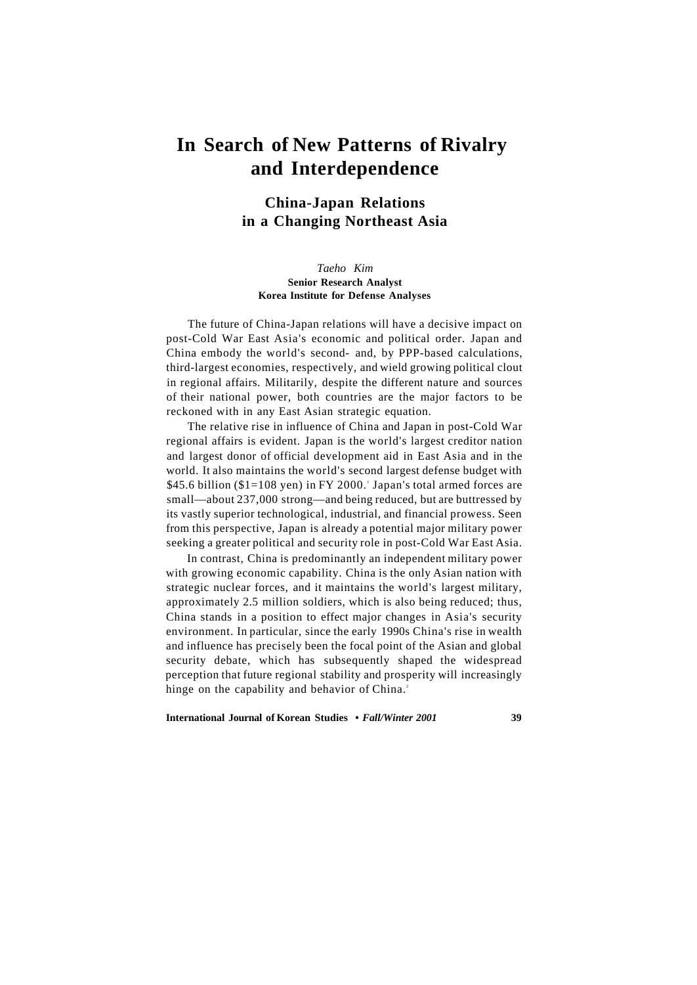# **In Search of New Patterns of Rivalry and Interdependence**

# **China-Japan Relations in a Changing Northeast Asia**

### *Taeho Kim*  **Senior Research Analyst Korea Institute for Defense Analyses**

The future of China-Japan relations will have a decisive impact on post-Cold War East Asia's economic and political order. Japan and China embody the world's second- and, by PPP-based calculations, third-largest economies, respectively, and wield growing political clout in regional affairs. Militarily, despite the different nature and sources of their national power, both countries are the major factors to be reckoned with in any East Asian strategic equation.

The relative rise in influence of China and Japan in post-Cold War regional affairs is evident. Japan is the world's largest creditor nation and largest donor of official development aid in East Asia and in the world. It also maintains the world's second largest defense budget with  $$45.6$  billion ( $$1=108$  yen) in FY 2000.' Japan's total armed forces are small—about 237,000 strong—and being reduced, but are buttressed by its vastly superior technological, industrial, and financial prowess. Seen from this perspective, Japan is already a potential major military power seeking a greater political and security role in post-Cold War East Asia.

In contrast, China is predominantly an independent military power with growing economic capability. China is the only Asian nation with strategic nuclear forces, and it maintains the world's largest military, approximately 2.5 million soldiers, which is also being reduced; thus, China stands in a position to effect major changes in Asia's security environment. In particular, since the early 1990s China's rise in wealth and influence has precisely been the focal point of the Asian and global security debate, which has subsequently shaped the widespread perception that future regional stability and prosperity will increasingly hinge on the capability and behavior of China.<sup>2</sup>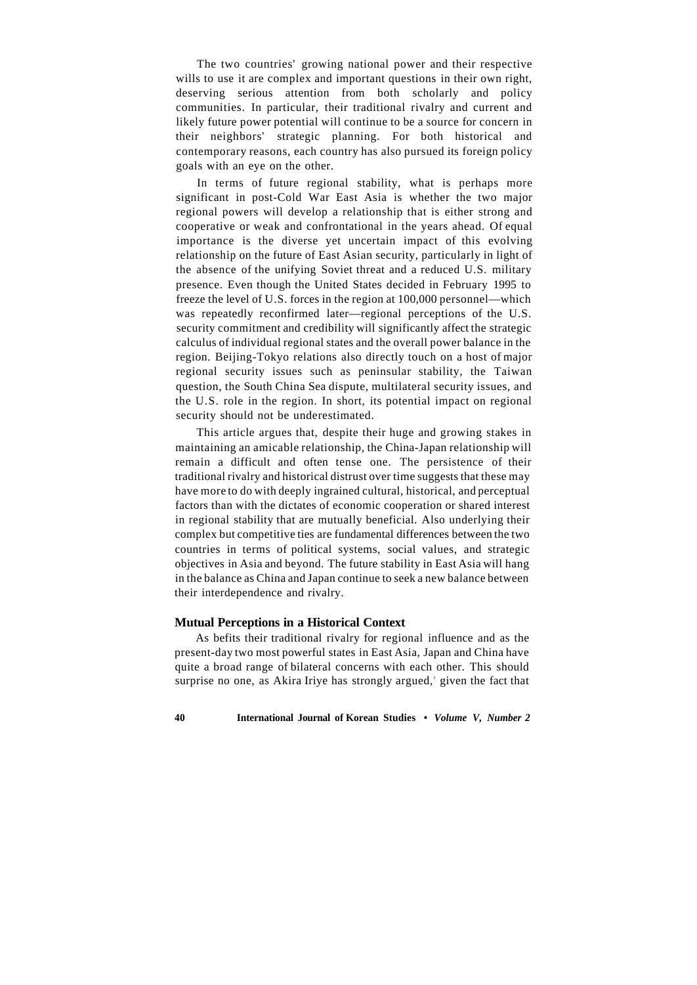The two countries' growing national power and their respective wills to use it are complex and important questions in their own right, deserving serious attention from both scholarly and policy communities. In particular, their traditional rivalry and current and likely future power potential will continue to be a source for concern in their neighbors' strategic planning. For both historical and contemporary reasons, each country has also pursued its foreign policy goals with an eye on the other.

In terms of future regional stability, what is perhaps more significant in post-Cold War East Asia is whether the two major regional powers will develop a relationship that is either strong and cooperative or weak and confrontational in the years ahead. Of equal importance is the diverse yet uncertain impact of this evolving relationship on the future of East Asian security, particularly in light of the absence of the unifying Soviet threat and a reduced U.S. military presence. Even though the United States decided in February 1995 to freeze the level of U.S. forces in the region at 100,000 personnel—which was repeatedly reconfirmed later—regional perceptions of the U.S. security commitment and credibility will significantly affect the strategic calculus of individual regional states and the overall power balance in the region. Beijing-Tokyo relations also directly touch on a host of major regional security issues such as peninsular stability, the Taiwan question, the South China Sea dispute, multilateral security issues, and the U.S. role in the region. In short, its potential impact on regional security should not be underestimated.

This article argues that, despite their huge and growing stakes in maintaining an amicable relationship, the China-Japan relationship will remain a difficult and often tense one. The persistence of their traditional rivalry and historical distrust over time suggests that these may have more to do with deeply ingrained cultural, historical, and perceptual factors than with the dictates of economic cooperation or shared interest in regional stability that are mutually beneficial. Also underlying their complex but competitive ties are fundamental differences between the two countries in terms of political systems, social values, and strategic objectives in Asia and beyond. The future stability in East Asia will hang in the balance as China and Japan continue to seek a new balance between their interdependence and rivalry.

# **Mutual Perceptions in a Historical Context**

As befits their traditional rivalry for regional influence and as the present-day two most powerful states in East Asia, Japan and China have quite a broad range of bilateral concerns with each other. This should surprise no one, as Akira Iriye has strongly argued,<sup>3</sup> given the fact that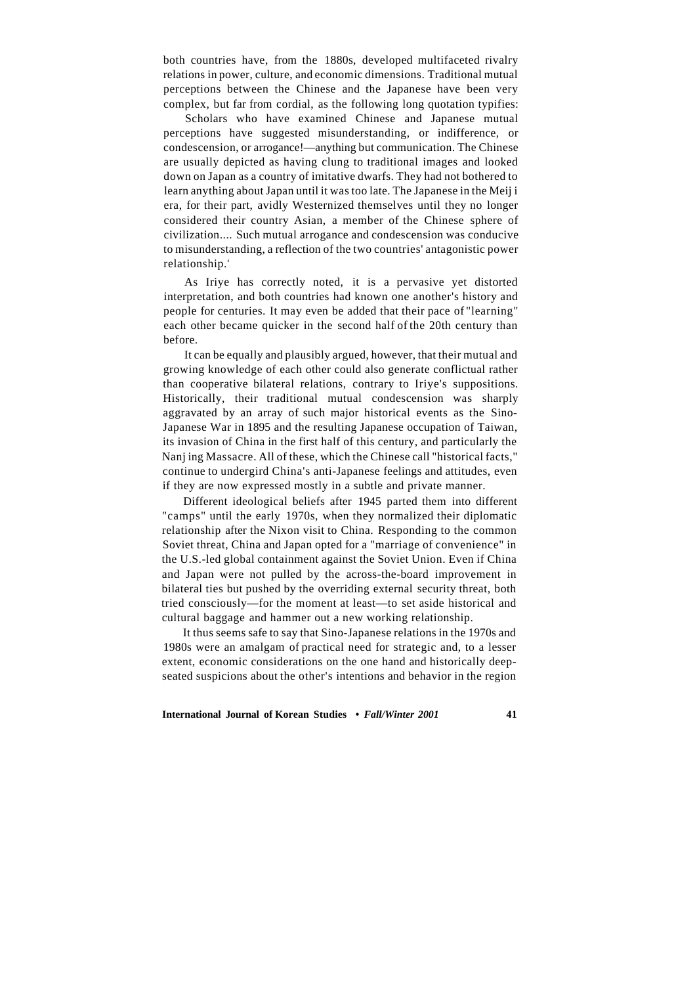both countries have, from the 1880s, developed multifaceted rivalry relations in power, culture, and economic dimensions. Traditional mutual perceptions between the Chinese and the Japanese have been very complex, but far from cordial, as the following long quotation typifies:

Scholars who have examined Chinese and Japanese mutual perceptions have suggested misunderstanding, or indifference, or condescension, or arrogance!—anything but communication. The Chinese are usually depicted as having clung to traditional images and looked down on Japan as a country of imitative dwarfs. They had not bothered to learn anything about Japan until it was too late. The Japanese in the Meij i era, for their part, avidly Westernized themselves until they no longer considered their country Asian, a member of the Chinese sphere of civilization.... Such mutual arrogance and condescension was conducive to misunderstanding, a reflection of the two countries' antagonistic power relationship.<sup>4</sup>

As Iriye has correctly noted, it is a pervasive yet distorted interpretation, and both countries had known one another's history and people for centuries. It may even be added that their pace of "learning" each other became quicker in the second half of the 20th century than before.

It can be equally and plausibly argued, however, that their mutual and growing knowledge of each other could also generate conflictual rather than cooperative bilateral relations, contrary to Iriye's suppositions. Historically, their traditional mutual condescension was sharply aggravated by an array of such major historical events as the Sino-Japanese War in 1895 and the resulting Japanese occupation of Taiwan, its invasion of China in the first half of this century, and particularly the Nanj ing Massacre. All of these, which the Chinese call "historical facts," continue to undergird China's anti-Japanese feelings and attitudes, even if they are now expressed mostly in a subtle and private manner.

Different ideological beliefs after 1945 parted them into different "camps" until the early 1970s, when they normalized their diplomatic relationship after the Nixon visit to China. Responding to the common Soviet threat, China and Japan opted for a "marriage of convenience" in the U.S.-led global containment against the Soviet Union. Even if China and Japan were not pulled by the across-the-board improvement in bilateral ties but pushed by the overriding external security threat, both tried consciously—for the moment at least—to set aside historical and cultural baggage and hammer out a new working relationship.

It thus seems safe to say that Sino-Japanese relations in the 1970s and 1980s were an amalgam of practical need for strategic and, to a lesser extent, economic considerations on the one hand and historically deepseated suspicions about the other's intentions and behavior in the region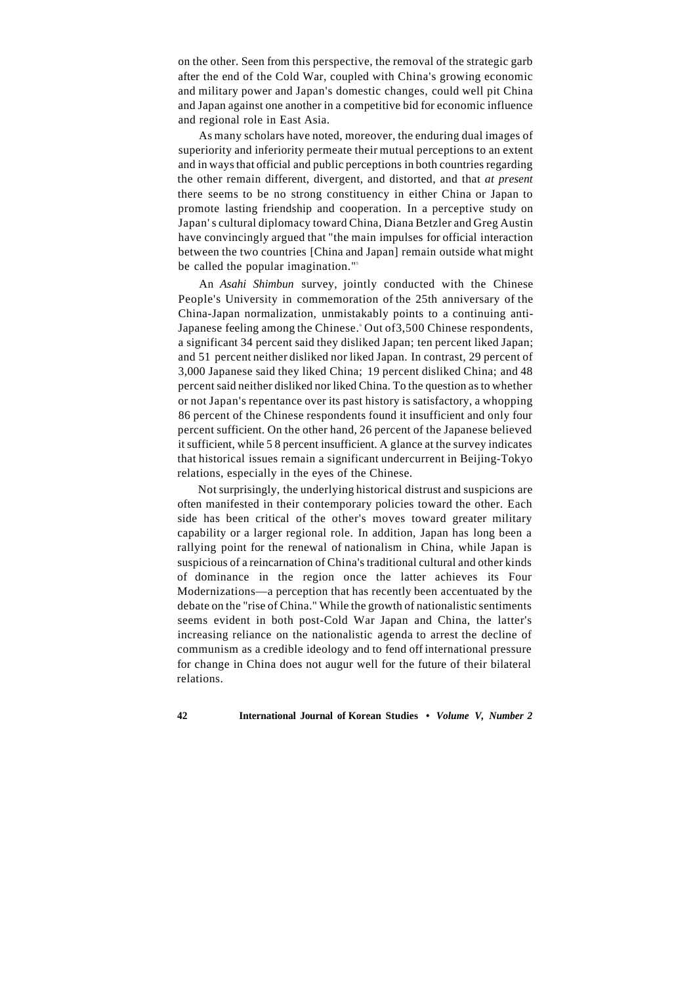on the other. Seen from this perspective, the removal of the strategic garb after the end of the Cold War, coupled with China's growing economic and military power and Japan's domestic changes, could well pit China and Japan against one another in a competitive bid for economic influence and regional role in East Asia.

As many scholars have noted, moreover, the enduring dual images of superiority and inferiority permeate their mutual perceptions to an extent and in ways that official and public perceptions in both countries regarding the other remain different, divergent, and distorted, and that *at present*  there seems to be no strong constituency in either China or Japan to promote lasting friendship and cooperation. In a perceptive study on Japan' s cultural diplomacy toward China, Diana Betzler and Greg Austin have convincingly argued that "the main impulses for official interaction between the two countries [China and Japan] remain outside what might be called the popular imagination."<sup>5</sup>

An *Asahi Shimbun* survey, jointly conducted with the Chinese People's University in commemoration of the 25th anniversary of the China-Japan normalization, unmistakably points to a continuing anti-Japanese feeling among the Chinese. Out of 3,500 Chinese respondents, a significant 34 percent said they disliked Japan; ten percent liked Japan; and 51 percent neither disliked nor liked Japan. In contrast, 29 percent of 3,000 Japanese said they liked China; 19 percent disliked China; and 48 percent said neither disliked nor liked China. To the question as to whether or not Japan's repentance over its past history is satisfactory, a whopping 86 percent of the Chinese respondents found it insufficient and only four percent sufficient. On the other hand, 26 percent of the Japanese believed it sufficient, while 5 8 percent insufficient. A glance at the survey indicates that historical issues remain a significant undercurrent in Beijing-Tokyo relations, especially in the eyes of the Chinese.

Not surprisingly, the underlying historical distrust and suspicions are often manifested in their contemporary policies toward the other. Each side has been critical of the other's moves toward greater military capability or a larger regional role. In addition, Japan has long been a rallying point for the renewal of nationalism in China, while Japan is suspicious of a reincarnation of China's traditional cultural and other kinds of dominance in the region once the latter achieves its Four Modernizations—a perception that has recently been accentuated by the debate on the "rise of China." While the growth of nationalistic sentiments seems evident in both post-Cold War Japan and China, the latter's increasing reliance on the nationalistic agenda to arrest the decline of communism as a credible ideology and to fend off international pressure for change in China does not augur well for the future of their bilateral relations.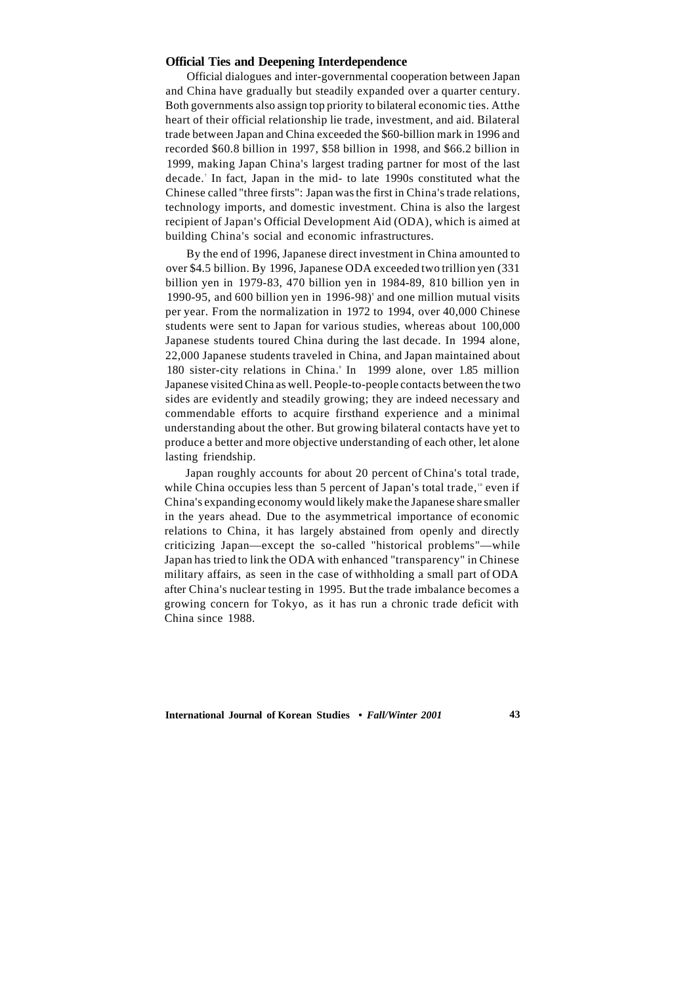#### **Official Ties and Deepening Interdependence**

Official dialogues and inter-governmental cooperation between Japan and China have gradually but steadily expanded over a quarter century. Both governments also assign top priority to bilateral economic ties. Atthe heart of their official relationship lie trade, investment, and aid. Bilateral trade between Japan and China exceeded the \$60-billion mark in 1996 and recorded \$60.8 billion in 1997, \$58 billion in 1998, and \$66.2 billion in 1999, making Japan China's largest trading partner for most of the last decade. In fact, Japan in the mid- to late 1990s constituted what the Chinese called "three firsts": Japan was the first in China's trade relations, technology imports, and domestic investment. China is also the largest recipient of Japan's Official Development Aid (ODA), which is aimed at building China's social and economic infrastructures.

By the end of 1996, Japanese direct investment in China amounted to over \$4.5 billion. By 1996, Japanese ODA exceeded two trillion yen (331 billion yen in 1979-83, 470 billion yen in 1984-89, 810 billion yen in 1990-95, and 600 billion yen in  $1996-98$ <sup>s</sup> and one million mutual visits per year. From the normalization in 1972 to 1994, over 40,000 Chinese students were sent to Japan for various studies, whereas about 100,000 Japanese students toured China during the last decade. In 1994 alone, 22,000 Japanese students traveled in China, and Japan maintained about 180 sister-city relations in China.<sup>9</sup> In 1999 alone, over 1.85 million Japanese visited China as well. People-to-people contacts between the two sides are evidently and steadily growing; they are indeed necessary and commendable efforts to acquire firsthand experience and a minimal understanding about the other. But growing bilateral contacts have yet to produce a better and more objective understanding of each other, let alone lasting friendship.

Japan roughly accounts for about 20 percent of China's total trade, while China occupies less than 5 percent of Japan's total trade," even if China's expanding economy would likely make the Japanese share smaller in the years ahead. Due to the asymmetrical importance of economic relations to China, it has largely abstained from openly and directly criticizing Japan—except the so-called "historical problems"—while Japan has tried to link the ODA with enhanced "transparency" in Chinese military affairs, as seen in the case of withholding a small part of ODA after China's nuclear testing in 1995. But the trade imbalance becomes a growing concern for Tokyo, as it has run a chronic trade deficit with China since 1988.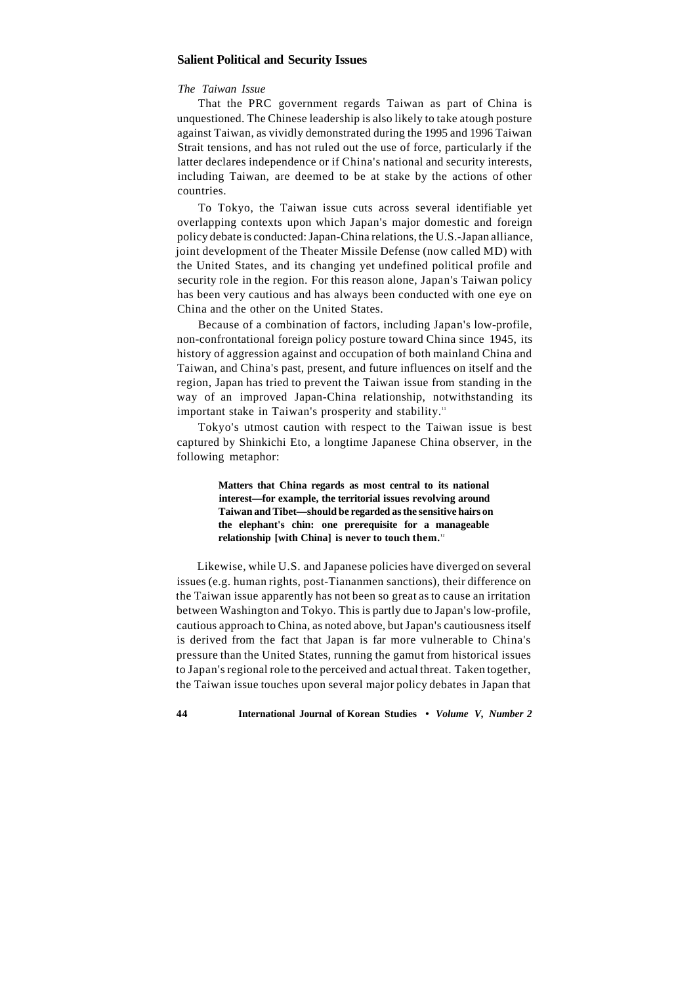# **Salient Political and Security Issues**

#### *The Taiwan Issue*

That the PRC government regards Taiwan as part of China is unquestioned. The Chinese leadership is also likely to take atough posture against Taiwan, as vividly demonstrated during the 1995 and 1996 Taiwan Strait tensions, and has not ruled out the use of force, particularly if the latter declares independence or if China's national and security interests, including Taiwan, are deemed to be at stake by the actions of other countries.

To Tokyo, the Taiwan issue cuts across several identifiable yet overlapping contexts upon which Japan's major domestic and foreign policy debate is conducted: Japan-China relations, the U.S.-Japan alliance, joint development of the Theater Missile Defense (now called MD) with the United States, and its changing yet undefined political profile and security role in the region. For this reason alone, Japan's Taiwan policy has been very cautious and has always been conducted with one eye on China and the other on the United States.

Because of a combination of factors, including Japan's low-profile, non-confrontational foreign policy posture toward China since 1945, its history of aggression against and occupation of both mainland China and Taiwan, and China's past, present, and future influences on itself and the region, Japan has tried to prevent the Taiwan issue from standing in the way of an improved Japan-China relationship, notwithstanding its important stake in Taiwan's prosperity and stability.<sup>11</sup>

Tokyo's utmost caution with respect to the Taiwan issue is best captured by Shinkichi Eto, a longtime Japanese China observer, in the following metaphor:

> **Matters that China regards as most central to its national interest—for example, the territorial issues revolving around Taiwan and Tibet—should be regarded as the sensitive hairs on the elephant's chin: one prerequisite for a manageable relationship [with China] is never to touch them. <sup>1</sup> <sup>2</sup>**

Likewise, while U.S. and Japanese policies have diverged on several issues (e.g. human rights, post-Tiananmen sanctions), their difference on the Taiwan issue apparently has not been so great as to cause an irritation between Washington and Tokyo. This is partly due to Japan's low-profile, cautious approach to China, as noted above, but Japan's cautiousness itself is derived from the fact that Japan is far more vulnerable to China's pressure than the United States, running the gamut from historical issues to Japan's regional role to the perceived and actual threat. Taken together, the Taiwan issue touches upon several major policy debates in Japan that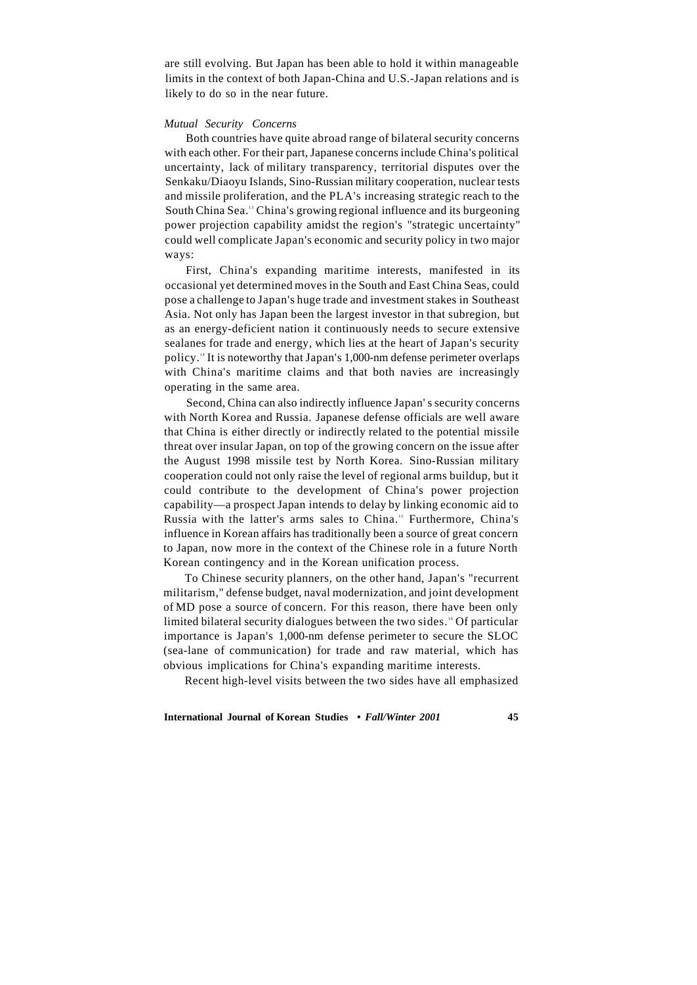are still evolving. But Japan has been able to hold it within manageable limits in the context of both Japan-China and U.S.-Japan relations and is likely to do so in the near future.

#### *Mutual Security Concerns*

Both countries have quite abroad range of bilateral security concerns with each other. For their part, Japanese concerns include China's political uncertainty, lack of military transparency, territorial disputes over the Senkaku/Diaoyu Islands, Sino-Russian military cooperation, nuclear tests and missile proliferation, and the PLA's increasing strategic reach to the South China Sea.<sup>13</sup> China's growing regional influence and its burgeoning power projection capability amidst the region's "strategic uncertainty" could well complicate Japan's economic and security policy in two major ways:

First, China's expanding maritime interests, manifested in its occasional yet determined moves in the South and East China Seas, could pose a challenge to Japan's huge trade and investment stakes in Southeast Asia. Not only has Japan been the largest investor in that subregion, but as an energy-deficient nation it continuously needs to secure extensive sealanes for trade and energy, which lies at the heart of Japan's security policy.<sup>14</sup> It is noteworthy that Japan's 1,000-nm defense perimeter overlaps with China's maritime claims and that both navies are increasingly operating in the same area.

Second, China can also indirectly influence Japan' s security concerns with North Korea and Russia. Japanese defense officials are well aware that China is either directly or indirectly related to the potential missile threat over insular Japan, on top of the growing concern on the issue after the August 1998 missile test by North Korea. Sino-Russian military cooperation could not only raise the level of regional arms buildup, but it could contribute to the development of China's power projection capability—a prospect Japan intends to delay by linking economic aid to Russia with the latter's arms sales to China.<sup>15</sup> Furthermore, China's influence in Korean affairs has traditionally been a source of great concern to Japan, now more in the context of the Chinese role in a future North Korean contingency and in the Korean unification process.

To Chinese security planners, on the other hand, Japan's "recurrent militarism," defense budget, naval modernization, and joint development of MD pose a source of concern. For this reason, there have been only limited bilateral security dialogues between the two sides.<sup>16</sup> Of particular importance is Japan's 1,000-nm defense perimeter to secure the SLOC (sea-lane of communication) for trade and raw material, which has obvious implications for China's expanding maritime interests.

Recent high-level visits between the two sides have all emphasized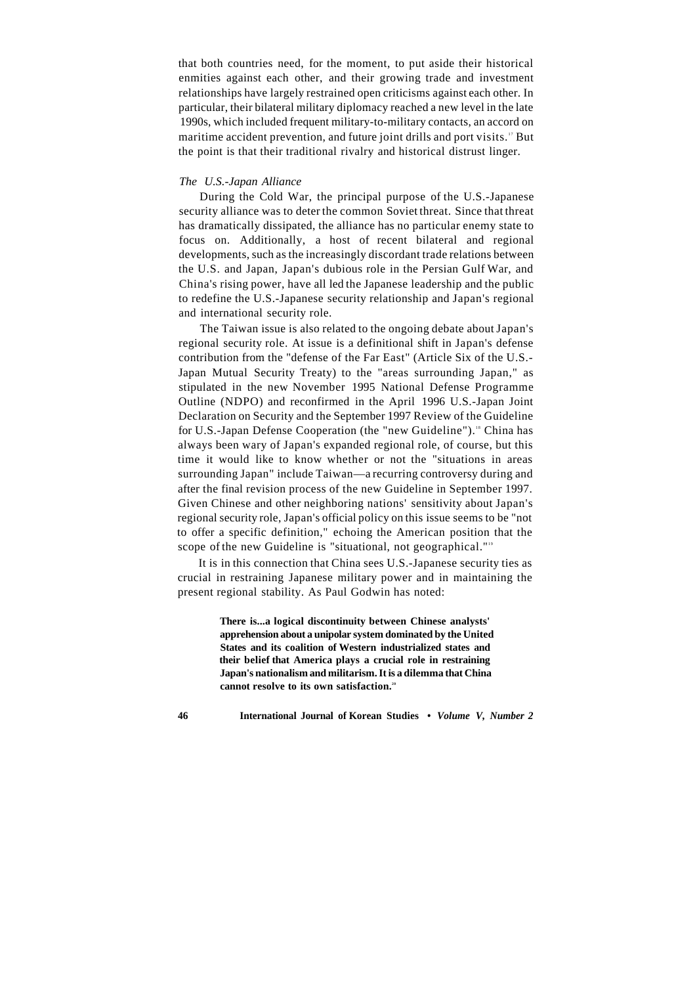that both countries need, for the moment, to put aside their historical enmities against each other, and their growing trade and investment relationships have largely restrained open criticisms against each other. In particular, their bilateral military diplomacy reached a new level in the late 1990s, which included frequent military-to-military contacts, an accord on maritime accident prevention, and future joint drills and port visits.<sup>17</sup> But the point is that their traditional rivalry and historical distrust linger.

#### *The U.S.-Japan Alliance*

During the Cold War, the principal purpose of the U.S.-Japanese security alliance was to deter the common Soviet threat. Since that threat has dramatically dissipated, the alliance has no particular enemy state to focus on. Additionally, a host of recent bilateral and regional developments, such as the increasingly discordant trade relations between the U.S. and Japan, Japan's dubious role in the Persian Gulf War, and China's rising power, have all led the Japanese leadership and the public to redefine the U.S.-Japanese security relationship and Japan's regional and international security role.

The Taiwan issue is also related to the ongoing debate about Japan's regional security role. At issue is a definitional shift in Japan's defense contribution from the "defense of the Far East" (Article Six of the U.S.- Japan Mutual Security Treaty) to the "areas surrounding Japan," as stipulated in the new November 1995 National Defense Programme Outline (NDPO) and reconfirmed in the April 1996 U.S.-Japan Joint Declaration on Security and the September 1997 Review of the Guideline for U.S.-Japan Defense Cooperation (the "new Guideline").<sup>18</sup> China has always been wary of Japan's expanded regional role, of course, but this time it would like to know whether or not the "situations in areas surrounding Japan" include Taiwan—a recurring controversy during and after the final revision process of the new Guideline in September 1997. Given Chinese and other neighboring nations' sensitivity about Japan's regional security role, Japan's official policy on this issue seems to be "not to offer a specific definition," echoing the American position that the scope of the new Guideline is "situational, not geographical."<sup>19</sup>

It is in this connection that China sees U.S.-Japanese security ties as crucial in restraining Japanese military power and in maintaining the present regional stability. As Paul Godwin has noted:

> **There is...a logical discontinuity between Chinese analysts' apprehension about a unipolar system dominated by the United States and its coalition of Western industrialized states and their belief that America plays a crucial role in restraining Japan's nationalism and militarism. It is a dilemma that China cannot resolve to its own satisfaction.<sup>20</sup>**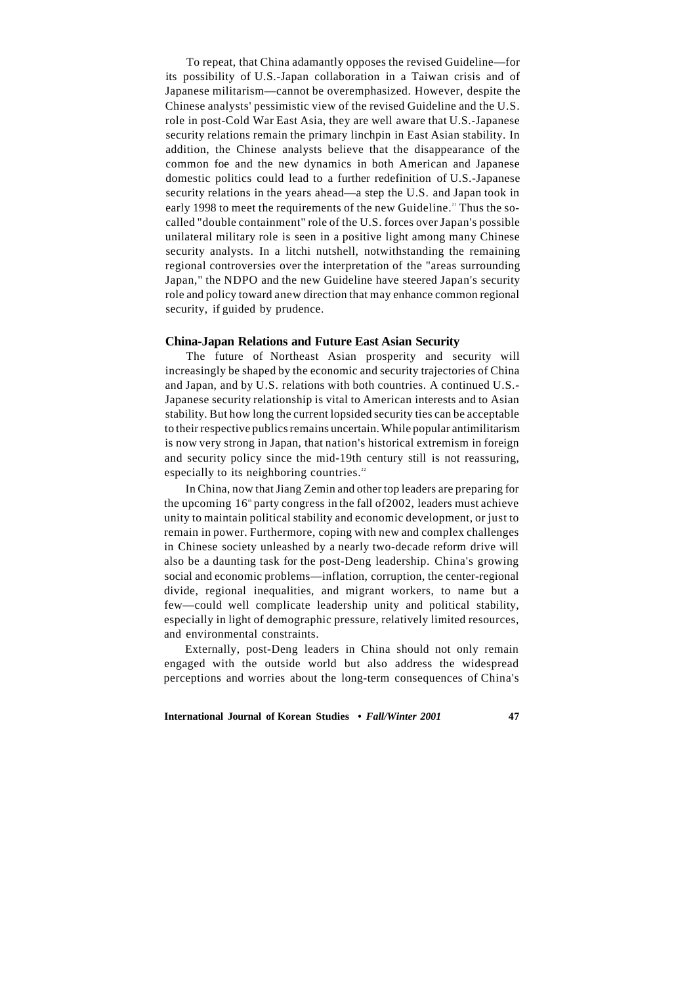To repeat, that China adamantly opposes the revised Guideline—for its possibility of U.S.-Japan collaboration in a Taiwan crisis and of Japanese militarism—cannot be overemphasized. However, despite the Chinese analysts' pessimistic view of the revised Guideline and the U.S. role in post-Cold War East Asia, they are well aware that U.S.-Japanese security relations remain the primary linchpin in East Asian stability. In addition, the Chinese analysts believe that the disappearance of the common foe and the new dynamics in both American and Japanese domestic politics could lead to a further redefinition of U.S.-Japanese security relations in the years ahead—a step the U.S. and Japan took in early 1998 to meet the requirements of the new Guideline.<sup>21</sup> Thus the socalled "double containment" role of the U.S. forces over Japan's possible unilateral military role is seen in a positive light among many Chinese security analysts. In a litchi nutshell, notwithstanding the remaining regional controversies over the interpretation of the "areas surrounding Japan," the NDPO and the new Guideline have steered Japan's security role and policy toward anew direction that may enhance common regional security, if guided by prudence.

# **China-Japan Relations and Future East Asian Security**

The future of Northeast Asian prosperity and security will increasingly be shaped by the economic and security trajectories of China and Japan, and by U.S. relations with both countries. A continued U.S.- Japanese security relationship is vital to American interests and to Asian stability. But how long the current lopsided security ties can be acceptable to their respective publics remains uncertain. While popular antimilitarism is now very strong in Japan, that nation's historical extremism in foreign and security policy since the mid-19th century still is not reassuring, especially to its neighboring countries.<sup>22</sup>

In China, now that Jiang Zemin and other top leaders are preparing for the upcoming  $16<sup>th</sup>$  party congress in the fall of 2002, leaders must achieve unity to maintain political stability and economic development, or just to remain in power. Furthermore, coping with new and complex challenges in Chinese society unleashed by a nearly two-decade reform drive will also be a daunting task for the post-Deng leadership. China's growing social and economic problems—inflation, corruption, the center-regional divide, regional inequalities, and migrant workers, to name but a few—could well complicate leadership unity and political stability, especially in light of demographic pressure, relatively limited resources, and environmental constraints.

Externally, post-Deng leaders in China should not only remain engaged with the outside world but also address the widespread perceptions and worries about the long-term consequences of China's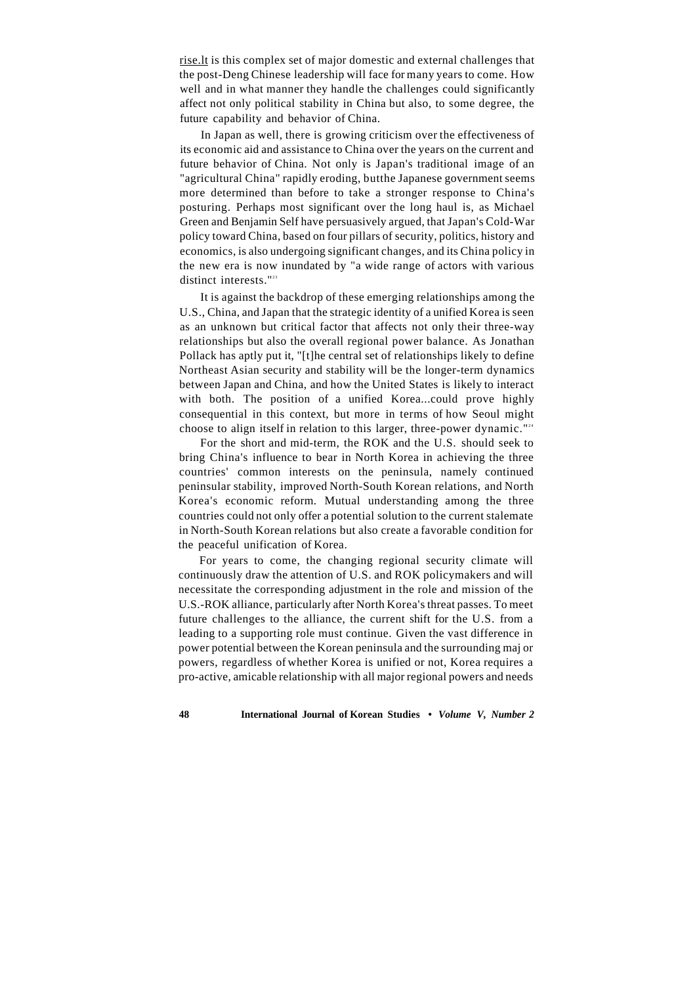[rise.lt i](http://rise.lt)s this complex set of major domestic and external challenges that the post-Deng Chinese leadership will face for many years to come. How well and in what manner they handle the challenges could significantly affect not only political stability in China but also, to some degree, the future capability and behavior of China.

In Japan as well, there is growing criticism over the effectiveness of its economic aid and assistance to China over the years on the current and future behavior of China. Not only is Japan's traditional image of an "agricultural China" rapidly eroding, butthe Japanese government seems more determined than before to take a stronger response to China's posturing. Perhaps most significant over the long haul is, as Michael Green and Benjamin Self have persuasively argued, that Japan's Cold-War policy toward China, based on four pillars of security, politics, history and economics, is also undergoing significant changes, and its China policy in the new era is now inundated by "a wide range of actors with various distinct interests."<sup>23</sup>

It is against the backdrop of these emerging relationships among the U.S., China, and Japan that the strategic identity of a unified Korea is seen as an unknown but critical factor that affects not only their three-way relationships but also the overall regional power balance. As Jonathan Pollack has aptly put it, "[t]he central set of relationships likely to define Northeast Asian security and stability will be the longer-term dynamics between Japan and China, and how the United States is likely to interact with both. The position of a unified Korea...could prove highly consequential in this context, but more in terms of how Seoul might choose to align itself in relation to this larger, three-power dynamic."<sup>24</sup>

For the short and mid-term, the ROK and the U.S. should seek to bring China's influence to bear in North Korea in achieving the three countries' common interests on the peninsula, namely continued peninsular stability, improved North-South Korean relations, and North Korea's economic reform. Mutual understanding among the three countries could not only offer a potential solution to the current stalemate in North-South Korean relations but also create a favorable condition for the peaceful unification of Korea.

For years to come, the changing regional security climate will continuously draw the attention of U.S. and ROK policymakers and will necessitate the corresponding adjustment in the role and mission of the U.S.-ROK alliance, particularly after North Korea's threat passes. To meet future challenges to the alliance, the current shift for the U.S. from a leading to a supporting role must continue. Given the vast difference in power potential between the Korean peninsula and the surrounding maj or powers, regardless of whether Korea is unified or not, Korea requires a pro-active, amicable relationship with all major regional powers and needs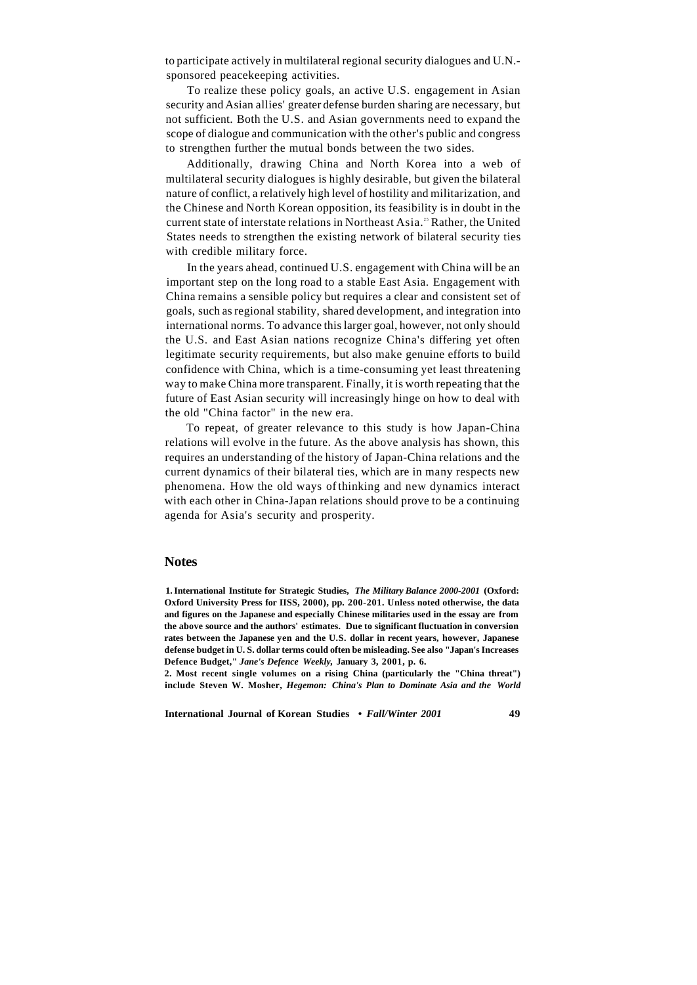to participate actively in multilateral regional security dialogues and U.N. sponsored peacekeeping activities.

To realize these policy goals, an active U.S. engagement in Asian security and Asian allies' greater defense burden sharing are necessary, but not sufficient. Both the U.S. and Asian governments need to expand the scope of dialogue and communication with the other's public and congress to strengthen further the mutual bonds between the two sides.

Additionally, drawing China and North Korea into a web of multilateral security dialogues is highly desirable, but given the bilateral nature of conflict, a relatively high level of hostility and militarization, and the Chinese and North Korean opposition, its feasibility is in doubt in the current state of interstate relations in Northeast Asia.<sup>25</sup> Rather, the United States needs to strengthen the existing network of bilateral security ties with credible military force.

In the years ahead, continued U.S. engagement with China will be an important step on the long road to a stable East Asia. Engagement with China remains a sensible policy but requires a clear and consistent set of goals, such as regional stability, shared development, and integration into international norms. To advance this larger goal, however, not only should the U.S. and East Asian nations recognize China's differing yet often legitimate security requirements, but also make genuine efforts to build confidence with China, which is a time-consuming yet least threatening way to make China more transparent. Finally, it is worth repeating that the future of East Asian security will increasingly hinge on how to deal with the old "China factor" in the new era.

To repeat, of greater relevance to this study is how Japan-China relations will evolve in the future. As the above analysis has shown, this requires an understanding of the history of Japan-China relations and the current dynamics of their bilateral ties, which are in many respects new phenomena. How the old ways of thinking and new dynamics interact with each other in China-Japan relations should prove to be a continuing agenda for Asia's security and prosperity.

# **Notes**

**1. International Institute for Strategic Studies,** *The Military Balance 2000-2001* **(Oxford: Oxford University Press for IISS, 2000), pp. 200-201. Unless noted otherwise, the data and figures on the Japanese and especially Chinese militaries used in the essay are from the above source and the authors' estimates. Due to significant fluctuation in conversion rates between the Japanese yen and the U.S. dollar in recent years, however, Japanese defense budget in U. S. dollar terms could often be misleading. See also "Japan's Increases Defence Budget,"** *Jane's Defence Weekly,* **January 3, 2001, p. 6.** 

**2. Most recent single volumes on a rising China (particularly the "China threat") include Steven W. Mosher,** *Hegemon: China's Plan to Dominate Asia and the World*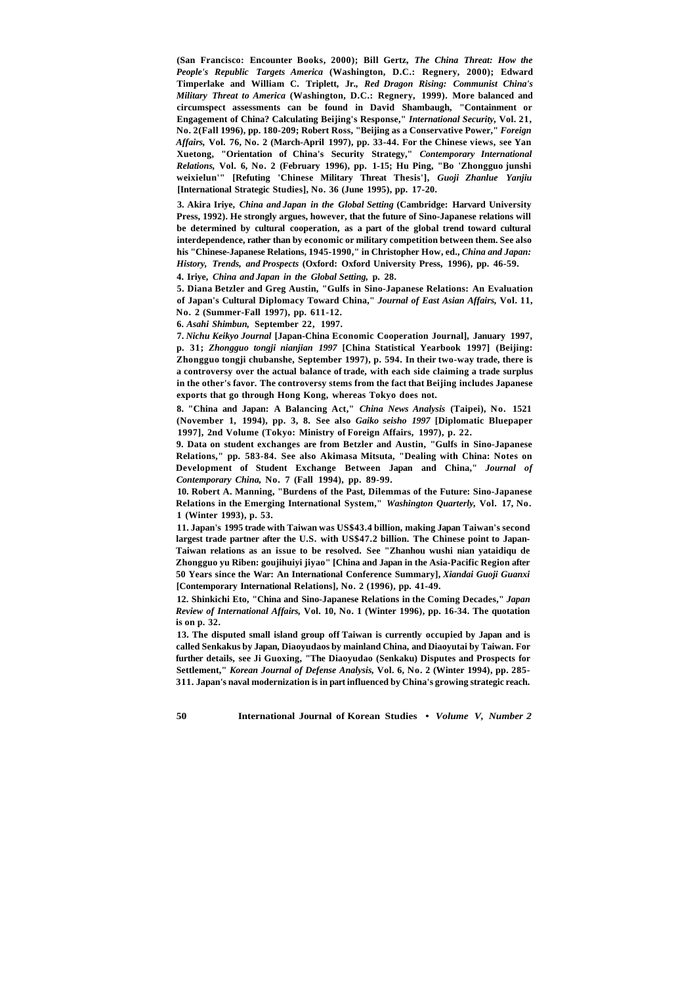**(San Francisco: Encounter Books, 2000); Bill Gertz,** *The China Threat: How the People's Republic Targets America* **(Washington, D.C.: Regnery, 2000); Edward Timperlake and William C. Triplett, Jr.,** *Red Dragon Rising: Communist China's Military Threat to America* **(Washington, D.C.: Regnery, 1999). More balanced and circumspect assessments can be found in David Shambaugh, "Containment or Engagement of China? Calculating Beijing's Response,"** *International Security,* **Vol. 21, No. 2(Fall 1996), pp. 180-209; Robert Ross, "Beijing as a Conservative Power,"** *Foreign Affairs,* **Vol. 76, No. 2 (March-April 1997), pp. 33-44. For the Chinese views, see Yan Xuetong, "Orientation of China's Security Strategy,"** *Contemporary International Relations,* **Vol. 6, No. 2 (February 1996), pp. 1-15; Hu Ping, "Bo 'Zhongguo junshi weixielun'" [Refuting 'Chinese Military Threat Thesis'],** *Guoji Zhanlue Yanjiu*  **[International Strategic Studies], No. 36 (June 1995), pp. 17-20.** 

**3. Akira Iriye,** *China and Japan in the Global Setting* **(Cambridge: Harvard University Press, 1992). He strongly argues, however, that the future of Sino-Japanese relations will be determined by cultural cooperation, as a part of the global trend toward cultural interdependence, rather than by economic or military competition between them. See also his "Chinese-Japanese Relations, 1945-1990," in Christopher How, ed.,** *China and Japan: History, Trends, and Prospects* **(Oxford: Oxford University Press, 1996), pp. 46-59.** 

**4. Iriye,** *China and Japan in the Global Setting,* **p. 28.** 

**5. Diana Betzler and Greg Austin, "Gulfs in Sino-Japanese Relations: An Evaluation of Japan's Cultural Diplomacy Toward China,"** *Journal of East Asian Affairs,* **Vol. 11, No. 2 (Summer-Fall 1997), pp. 611-12.** 

**6.** *Asahi Shimbun,* **September 22, 1997.** 

**7.** *Nichu Keikyo Journal* **[Japan-China Economic Cooperation Journal], January 1997, p. 31;** *Zhongguo tongji nianjian 1997* **[China Statistical Yearbook 1997] (Beijing: Zhongguo tongji chubanshe, September 1997), p. 594. In their two-way trade, there is a controversy over the actual balance of trade, with each side claiming a trade surplus in the other's favor. The controversy stems from the fact that Beijing includes Japanese exports that go through Hong Kong, whereas Tokyo does not.** 

**8. "China and Japan: A Balancing Act,"** *China News Analysis* **(Taipei), No. 1521 (November 1, 1994), pp. 3, 8. See also** *Gaiko seisho 1997* **[Diplomatic Bluepaper 1997], 2nd Volume (Tokyo: Ministry of Foreign Affairs, 1997), p. 22.** 

**9. Data on student exchanges are from Betzler and Austin, "Gulfs in Sino-Japanese Relations," pp. 583-84. See also Akimasa Mitsuta, "Dealing with China: Notes on Development of Student Exchange Between Japan and China,"** *Journal of Contemporary China,* **No. 7 (Fall 1994), pp. 89-99.** 

**10. Robert A. Manning, "Burdens of the Past, Dilemmas of the Future: Sino-Japanese Relations in the Emerging International System,"** *Washington Quarterly,* **Vol. 17, No. 1 (Winter 1993), p. 53.** 

**11. Japan's 1995 trade with Taiwan was US\$43.4 billion, making Japan Taiwan's second largest trade partner after the U.S. with US\$47.2 billion. The Chinese point to Japan-Taiwan relations as an issue to be resolved. See "Zhanhou wushi nian yataidiqu de Zhongguo yu Riben: goujihuiyi jiyao" [China and Japan in the Asia-Pacific Region after 50 Years since the War: An International Conference Summary],** *Xiandai Guoji Guanxi*  **[Contemporary International Relations], No. 2 (1996), pp. 41-49.** 

**12. Shinkichi Eto, "China and Sino-Japanese Relations in the Coming Decades,"** *Japan Review of International Affairs,* **Vol. 10, No. 1 (Winter 1996), pp. 16-34. The quotation is on p. 32.** 

**13. The disputed small island group off Taiwan is currently occupied by Japan and is called Senkakus by Japan, Diaoyudaos by mainland China, and Diaoyutai by Taiwan. For further details, see Ji Guoxing, "The Diaoyudao (Senkaku) Disputes and Prospects for Settlement,"** *Korean Journal of Defense Analysis,* **Vol. 6, No. 2 (Winter 1994), pp. 285- 311. Japan's naval modernization is in part influenced by China's growing strategic reach.**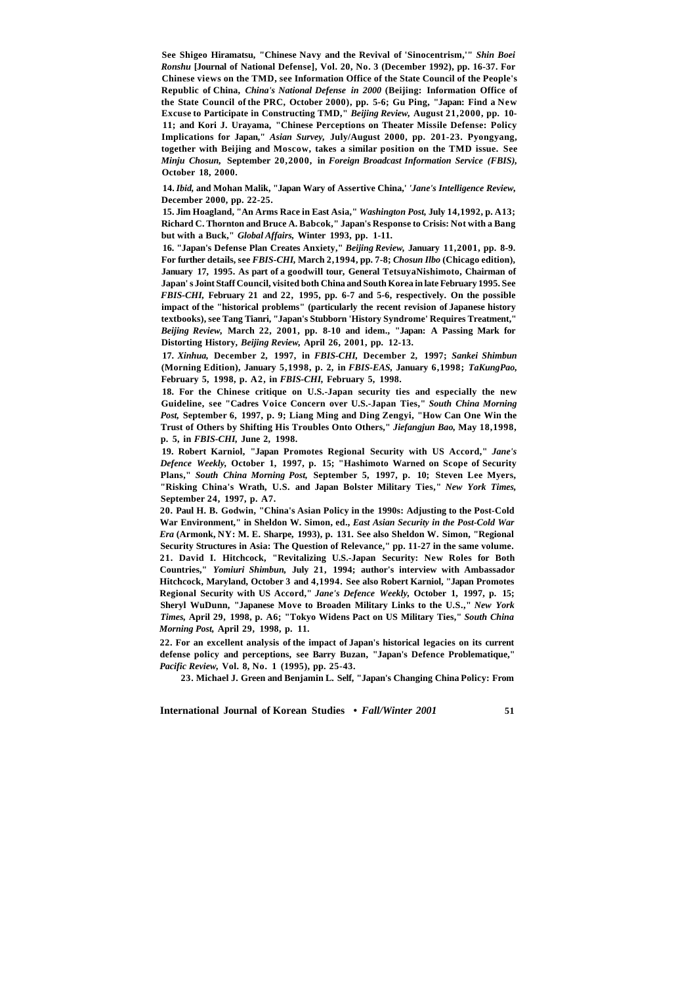**See Shigeo Hiramatsu, "Chinese Navy and the Revival of 'Sinocentrism,'"** *Shin Boei Ronshu* **[Journal of National Defense], Vol. 20, No. 3 (December 1992), pp. 16-37. For Chinese views on the TMD, see Information Office of the State Council of the People's Republic of China,** *China's National Defense in 2000* **(Beijing: Information Office of the State Council of the PRC, October 2000), pp. 5-6; Gu Ping, "Japan: Find a New Excuse to Participate in Constructing TMD,"** *Beijing Review,* **August 21,2000, pp. 10- 11; and Kori J. Urayama, "Chinese Perceptions on Theater Missile Defense: Policy Implications for Japan,"** *Asian Survey,* **July/August 2000, pp. 201-23. Pyongyang, together with Beijing and Moscow, takes a similar position on the TMD issue. See**  *Minju Chosun,* **September 20,2000, in** *Foreign Broadcast Information Service (FBIS),*  **October 18, 2000.** 

**14.** *Ibid,* **and Mohan Malik, "Japan Wary of Assertive China,'** *'Jane's Intelligence Review,*  **December 2000, pp. 22-25.** 

**15. Jim Hoagland, "An Arms Race in East Asia,"** *Washington Post,* **July 14,1992, p. A13; Richard C. Thornton and Bruce A. Babcok," Japan's Response to Crisis: Not with a Bang but with a Buck,"** *Global Affairs,* **Winter 1993, pp. 1-11.** 

**16. "Japan's Defense Plan Creates Anxiety,"** *Beijing Review,* **January 11,2001, pp. 8-9. For further details, see** *FBIS-CHI,* **March 2,1994, pp. 7-8;** *Chosun Ilbo* **(Chicago edition), January 17, 1995. As part of a goodwill tour, General TetsuyaNishimoto, Chairman of Japan' s Joint Staff Council, visited both China and South Korea in late February 1995. See**  *FBIS-CHI,* **February 21 and 22, 1995, pp. 6-7 and 5-6, respectively. On the possible impact of the "historical problems" (particularly the recent revision of Japanese history textbooks), see Tang Tianri, "Japan's Stubborn 'History Syndrome' Requires Treatment,"**  *Beijing Review,* **March 22, 2001, pp. 8-10 and idem., "Japan: A Passing Mark for Distorting History,** *Beijing Review,* **April 26, 2001, pp. 12-13.** 

**17.** *Xinhua,* **December 2, 1997, in** *FBIS-CHI,* **December 2, 1997;** *Sankei Shimbun*  **(Morning Edition), January 5,1998, p. 2, in** *FBIS-EAS,* **January 6,1998;** *TaKungPao,*  **February 5, 1998, p. A2, in** *FBIS-CHI,* **February 5, 1998.** 

**18. For the Chinese critique on U.S.-Japan security ties and especially the new Guideline, see "Cadres Voice Concern over U.S.-Japan Ties,"** *South China Morning Post,* **September 6, 1997, p. 9; Liang Ming and Ding Zengyi, "How Can One Win the Trust of Others by Shifting His Troubles Onto Others,"** *Jiefangjun Bao,* **May 18,1998, p. 5, in** *FBIS-CHI,* **June 2, 1998.** 

**19. Robert Karniol, "Japan Promotes Regional Security with US Accord,"** *Jane's Defence Weekly,* **October 1, 1997, p. 15; "Hashimoto Warned on Scope of Security Plans,"** *South China Morning Post,* **September 5, 1997, p. 10; Steven Lee Myers, "Risking China's Wrath, U.S. and Japan Bolster Military Ties,"** *New York Times,*  **September 24, 1997, p. A7.** 

**20. Paul H. B. Godwin, "China's Asian Policy in the 1990s: Adjusting to the Post-Cold War Environment," in Sheldon W. Simon, ed.,** *East Asian Security in the Post-Cold War Era* **(Armonk, NY: M. E. Sharpe, 1993), p. 131. See also Sheldon W. Simon, "Regional Security Structures in Asia: The Question of Relevance," pp. 11-27 in the same volume. 21. David I. Hitchcock, "Revitalizing U.S.-Japan Security: New Roles for Both Countries,"** *Yomiuri Shimbun,* **July 21, 1994; author's interview with Ambassador Hitchcock, Maryland, October 3 and 4,1994. See also Robert Karniol, "Japan Promotes Regional Security with US Accord,"** *Jane's Defence Weekly,* **October 1, 1997, p. 15; Sheryl WuDunn, "Japanese Move to Broaden Military Links to the U.S.,"** *New York Times,* **April 29, 1998, p. A6; "Tokyo Widens Pact on US Military Ties,"** *South China Morning Post,* **April 29, 1998, p. 11.** 

**22. For an excellent analysis of the impact of Japan's historical legacies on its current defense policy and perceptions, see Barry Buzan, "Japan's Defence Problematique,"**  *Pacific Review,* **Vol. 8, No. 1 (1995), pp. 25-43.** 

**23. Michael J. Green and Benjamin L. Self, "Japan's Changing China Policy: From**